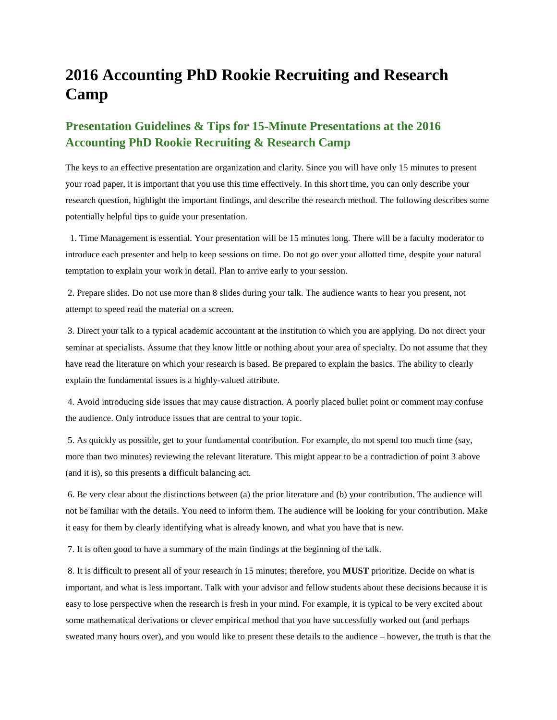## **2016 Accounting PhD Rookie Recruiting and Research Camp**

## **Presentation Guidelines & Tips for 15-Minute Presentations at the 2016 Accounting PhD Rookie Recruiting & Research Camp**

The keys to an effective presentation are organization and clarity. Since you will have only 15 minutes to present your road paper, it is important that you use this time effectively. In this short time, you can only describe your research question, highlight the important findings, and describe the research method. The following describes some potentially helpful tips to guide your presentation.

 1. Time Management is essential. Your presentation will be 15 minutes long. There will be a faculty moderator to introduce each presenter and help to keep sessions on time. Do not go over your allotted time, despite your natural temptation to explain your work in detail. Plan to arrive early to your session.

2. Prepare slides. Do not use more than 8 slides during your talk. The audience wants to hear you present, not attempt to speed read the material on a screen.

3. Direct your talk to a typical academic accountant at the institution to which you are applying. Do not direct your seminar at specialists. Assume that they know little or nothing about your area of specialty. Do not assume that they have read the literature on which your research is based. Be prepared to explain the basics. The ability to clearly explain the fundamental issues is a highly-valued attribute.

4. Avoid introducing side issues that may cause distraction. A poorly placed bullet point or comment may confuse the audience. Only introduce issues that are central to your topic.

5. As quickly as possible, get to your fundamental contribution. For example, do not spend too much time (say, more than two minutes) reviewing the relevant literature. This might appear to be a contradiction of point 3 above (and it is), so this presents a difficult balancing act.

6. Be very clear about the distinctions between (a) the prior literature and (b) your contribution. The audience will not be familiar with the details. You need to inform them. The audience will be looking for your contribution. Make it easy for them by clearly identifying what is already known, and what you have that is new.

7. It is often good to have a summary of the main findings at the beginning of the talk.

8. It is difficult to present all of your research in 15 minutes; therefore, you **MUST** prioritize. Decide on what is important, and what is less important. Talk with your advisor and fellow students about these decisions because it is easy to lose perspective when the research is fresh in your mind. For example, it is typical to be very excited about some mathematical derivations or clever empirical method that you have successfully worked out (and perhaps sweated many hours over), and you would like to present these details to the audience – however, the truth is that the